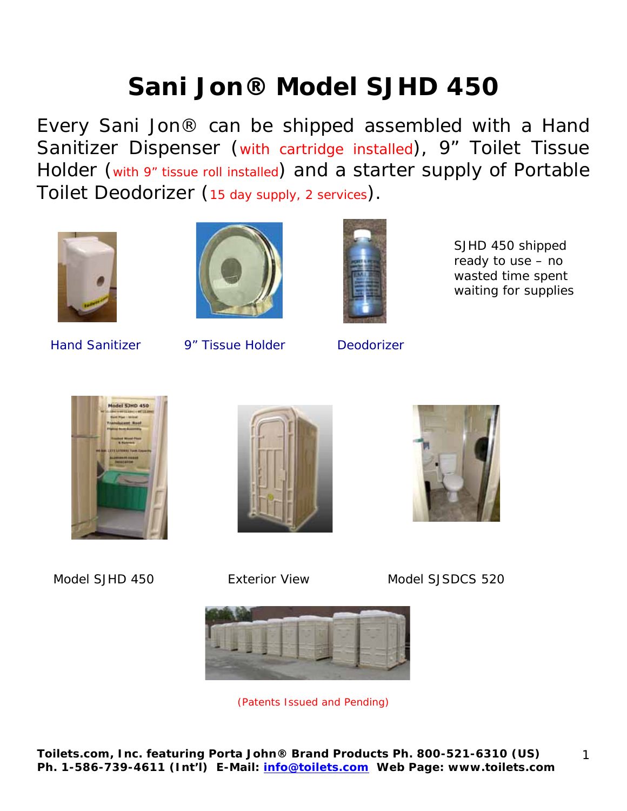# **Sani Jon® Model SJHD 450**

Every Sani Jon® can be shipped assembled with a Hand Sanitizer Dispenser (with cartridge installed), 9" Toilet Tissue Holder (with 9" tissue roll installed) and a starter supply of Portable Toilet Deodorizer (15 day supply, 2 services).







SJHD 450 shipped ready to use – no wasted time spent waiting for supplies

Hand Sanitizer 9" Tissue Holder Deodorizer







Model SJHD 450 Exterior View Model SJSDCS 520



(Patents Issued and Pending)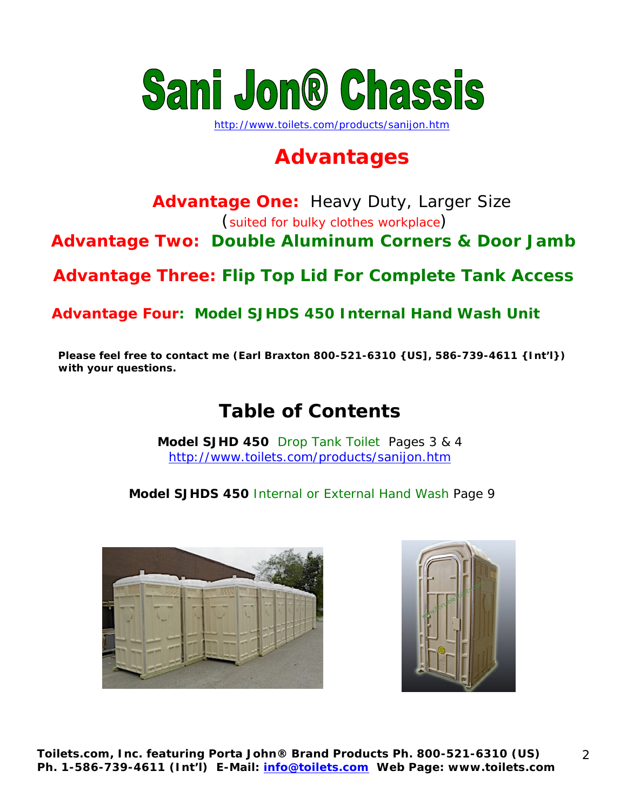

http://www.toilets.com/products/sanijon.htm

## **Advantages**

## **Advantage One:** Heavy Duty, Larger Size

(suited for bulky clothes workplace)

**Advantage Two: Double Aluminum Corners & Door Jamb** 

**Advantage Three: Flip Top Lid For Complete Tank Access** 

**Advantage Four: Model SJHDS 450 Internal Hand Wash Unit** 

**Please feel free to contact me (Earl Braxton 800-521-6310 {US], 586-739-4611 {Int'l}) with your questions.** 

## **Table of Contents**

**Model SJHD 450** Drop Tank Toilet Pages 3 & 4 http://www.toilets.com/products/sanijon.htm

**Model SJHDS 450** Internal or External Hand Wash Page 9



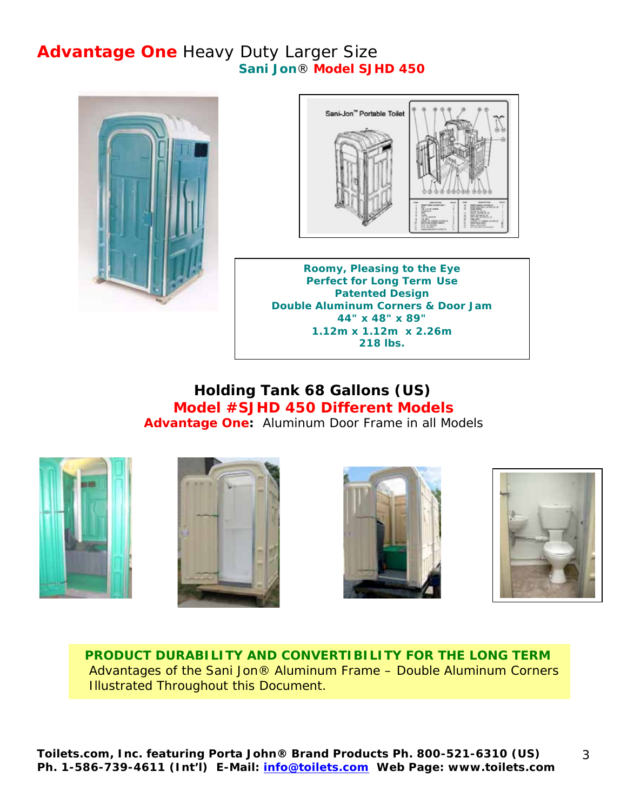#### **Advantage One** Heavy Duty Larger Size **Sani Jon**® **Model SJHD 450**





**Roomy, Pleasing to the Eye Perfect for Long Term Use Patented Design Double Aluminum Corners & Door Jam 44" x 48" x 89" 1.12m x 1.12m x 2.26m 218 lbs.**

#### **Holding Tank 68 Gallons (US) Model #SJHD 450 Different Models Advantage One:** Aluminum Door Frame in all Models









 **PRODUCT DURABILITY AND CONVERTIBILITY FOR THE LONG TERM** Advantages of the Sani Jon® Aluminum Frame – Double Aluminum Corners Illustrated Throughout this Document.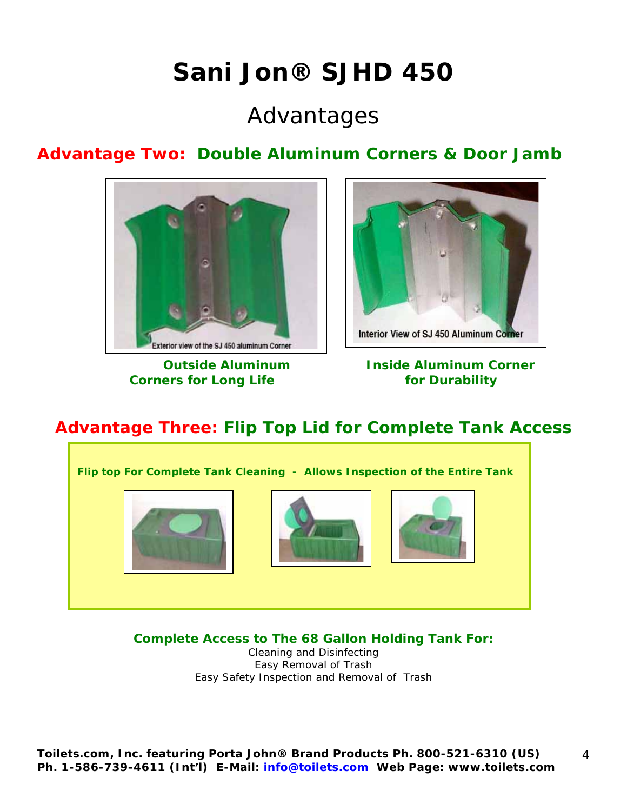## **Sani Jon® SJHD 450**

## Advantages

### **Advantage Two: Double Aluminum Corners & Door Jamb**



**Corners for Long Life 6 and 19 and 19 and 19 and 19 and 19 and 19 and 19 and 19 and 19 and 19 and 19 and 19 and 19 and 19 and 19 and 19 and 19 and 19 and 19 and 19 and 19 and 19 and 19 and 19 and 19 and 19 and 19 and 19 a** 



**Outside Aluminum Inside Aluminum Corner** 

### **Advantage Three: Flip Top Lid for Complete Tank Access**



**Complete Access to The 68 Gallon Holding Tank For:** 

Cleaning and Disinfecting Easy Removal of Trash Easy Safety Inspection and Removal of Trash